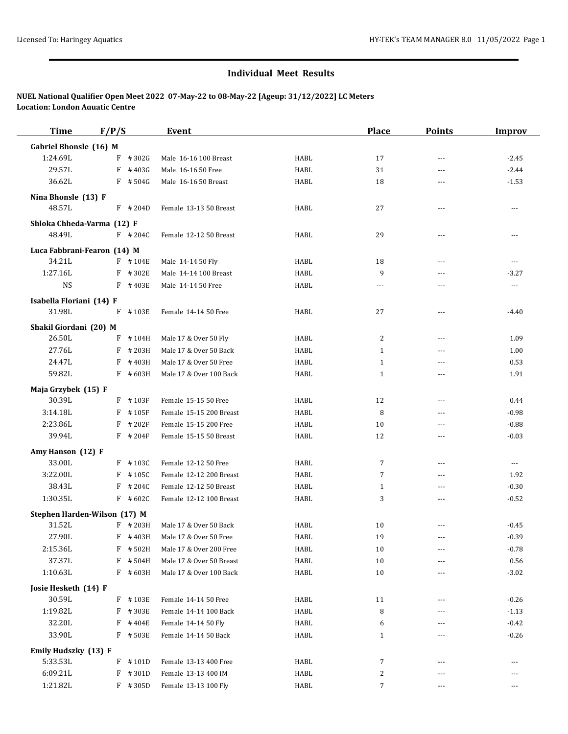## **Individual Meet Results**

## **NUEL National Qualifier Open Meet 2022 07-May-22 to 08-May-22 [Ageup: 31/12/2022] LC Meters Location: London Aquatic Centre**

| <b>Time</b>                  | F/P/S |            | Event                    |             | <b>Place</b> | <b>Points</b>  | <b>Improv</b>  |
|------------------------------|-------|------------|--------------------------|-------------|--------------|----------------|----------------|
| Gabriel Bhonsle (16) M       |       |            |                          |             |              |                |                |
| 1:24.69L                     | F     | #302G      | Male 16-16 100 Breast    | HABL        | 17           | $\overline{a}$ | $-2.45$        |
| 29.57L                       | F     | #403G      | Male 16-16 50 Free       | HABL        | 31           | $\overline{a}$ | $-2.44$        |
| 36.62L                       |       | $F$ # 504G | Male 16-16 50 Breast     | HABL        | 18           | ---            | $-1.53$        |
| Nina Bhonsle (13) F          |       |            |                          |             |              |                |                |
| 48.57L                       |       | $F$ # 204D | Female 13-13 50 Breast   | HABL        | 27           | ---            | ---            |
|                              |       |            |                          |             |              |                |                |
| Shloka Chheda-Varma (12) F   |       |            |                          |             |              |                |                |
| 48.49L                       |       | $F$ # 204C | Female 12-12 50 Breast   | HABL        | 29           | ---            | ---            |
| Luca Fabbrani-Fearon (14) M  |       |            |                          |             |              |                |                |
| 34.21L                       |       | $F$ # 104E | Male 14-14 50 Fly        | HABL        | 18           | $\overline{a}$ | $\overline{a}$ |
| 1:27.16L                     |       | $F$ # 302E | Male 14-14 100 Breast    | HABL        | 9            | ---            | $-3.27$        |
| <b>NS</b>                    |       | $F$ # 403E | Male 14-14 50 Free       | HABL        | ---          | $\overline{a}$ | $\overline{a}$ |
| Isabella Floriani (14) F     |       |            |                          |             |              |                |                |
| 31.98L                       |       | $F$ #103E  | Female 14-14 50 Free     | HABL        | 27           | ---            | $-4.40$        |
| Shakil Giordani (20) M       |       |            |                          |             |              |                |                |
| 26.50L                       |       | $F$ # 104H | Male 17 & Over 50 Fly    | HABL        | 2            | ---            | 1.09           |
| 27.76L                       | F     | #203H      | Male 17 & Over 50 Back   | HABL        | $\mathbf{1}$ | $\overline{a}$ | 1.00           |
| 24.47L                       | F     | #403H      | Male 17 & Over 50 Free   | HABL        | $\mathbf{1}$ | ---            | 0.53           |
| 59.82L                       |       | $F$ #603H  | Male 17 & Over 100 Back  | HABL        | $\mathbf{1}$ | $\overline{a}$ | 1.91           |
| Maja Grzybek (15) F          |       |            |                          |             |              |                |                |
| 30.39L                       |       | $F$ #103F  | Female 15-15 50 Free     | HABL        | 12           | $\overline{a}$ | 0.44           |
| 3:14.18L                     | F     | #105F      | Female 15-15 200 Breast  | HABL        | 8            | $\overline{a}$ | $-0.98$        |
| 2:23.86L                     | F     | # 202F     | Female 15-15 200 Free    | HABL        | 10           | $---$          | $-0.88$        |
| 39.94L                       |       | $F$ # 204F | Female 15-15 50 Breast   | HABL        | 12           | $\overline{a}$ | $-0.03$        |
| Amy Hanson (12) F            |       |            |                          |             |              |                |                |
| 33.00L                       |       | $F$ #103C  | Female 12-12 50 Free     | HABL        | 7            | ---            | ---            |
| 3:22.00L                     | F     | #105C      | Female 12-12 200 Breast  | HABL        | 7            | ---            | 1.92           |
| 38.43L                       | F     | #204C      | Female 12-12 50 Breast   | HABL        | $\mathbf{1}$ | $\overline{a}$ | $-0.30$        |
| 1:30.35L                     |       | $F$ #602C  | Female 12-12 100 Breast  | HABL        | 3            | ---            | $-0.52$        |
|                              |       |            |                          |             |              |                |                |
| Stephen Harden-Wilson (17) M |       |            |                          |             |              |                |                |
| 31.52L                       |       | $F$ # 203H | Male 17 & Over 50 Back   | <b>HABL</b> | 10           |                | $-0.45$        |
| 27.90L                       |       | $F$ #403H  | Male 17 & Over 50 Free   | HABL        | 19           | $---$          | $-0.39$        |
| 2:15.36L                     |       | F #502H    | Male 17 & Over 200 Free  | HABL        | 10           | ---            | $-0.78$        |
| 37.37L                       | F     | #504H      | Male 17 & Over 50 Breast | HABL        | 10           |                | 0.56           |
| 1:10.63L                     |       | $F$ #603H  | Male 17 & Over 100 Back  | HABL        | 10           | ---            | $-3.02$        |
| Josie Hesketh (14) F         |       |            |                          |             |              |                |                |
| 30.59L                       |       | F #103E    | Female 14-14 50 Free     | HABL        | 11           | $---$          | $-0.26$        |
| 1:19.82L                     | F     | #303E      | Female 14-14 100 Back    | HABL        | 8            |                | $-1.13$        |
| 32.20L                       | F     | #404E      | Female 14-14 50 Fly      | HABL        | 6            |                | $-0.42$        |
| 33.90L                       |       | F #503E    | Female 14-14 50 Back     | HABL        | $1\,$        | ---            | $-0.26$        |
| Emily Hudszky (13) F         |       |            |                          |             |              |                |                |
| 5:33.53L                     |       | $F$ #101D  | Female 13-13 400 Free    | HABL        | 7            | $---$          | ---            |
| 6:09.21L                     | F     | #301D      | Female 13-13 400 IM      | HABL        | 2            | ---            | ---            |
| 1:21.82L                     |       | $F$ # 305D | Female 13-13 100 Fly     | HABL        | 7            | ---            | ---            |